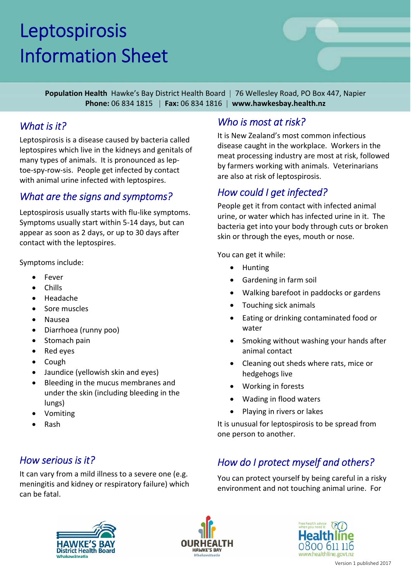# Leptospirosis Information Sheet



**Population Health** Hawke's Bay District Health Board | 76 Wellesley Road, PO Box 447, Napier **Phone:** 06 834 1815 | **Fax:** 06 834 1816 | **www.hawkesbay.health.nz**

#### *What is it?*

Leptospirosis is a disease caused by bacteria called leptospires which live in the kidneys and genitals of many types of animals. It is pronounced as lep‐ toe‐spy‐row‐sis. People get infected by contact with animal urine infected with leptospires.

#### *What are the signs and symptoms?*

Leptospirosis usually starts with flu-like symptoms. Symptoms usually start within 5‐14 days, but can appear as soon as 2 days, or up to 30 days after contact with the leptospires.

Symptoms include:

- Fever
- Chills
- Headache
- Sore muscles
- Nausea
- Diarrhoea (runny poo)
- Stomach pain
- Red eyes
- Cough
- Jaundice (yellowish skin and eyes)
- Bleeding in the mucus membranes and under the skin (including bleeding in the lungs)
- Vomiting
- Rash

#### *How serious is it?*

It can vary from a mild illness to a severe one (e.g. meningitis and kidney or respiratory failure) which can be fatal.

### *Who is most at risk?*

It is New Zealand's most common infectious disease caught in the workplace. Workers in the meat processing industry are most at risk, followed by farmers working with animals. Veterinarians are also at risk of leptospirosis.

#### *How could I get infected?*

People get it from contact with infected animal urine, or water which has infected urine in it. The bacteria get into your body through cuts or broken skin or through the eyes, mouth or nose.

You can get it while:

- Hunting
- Gardening in farm soil
- Walking barefoot in paddocks or gardens
- Touching sick animals
- Eating or drinking contaminated food or water
- Smoking without washing your hands after animal contact
- Cleaning out sheds where rats, mice or hedgehogs live
- Working in forests
- Wading in flood waters
- Playing in rivers or lakes

It is unusual for leptospirosis to be spread from one person to another.

## *How do I protect myself and others?*

You can protect yourself by being careful in a risky environment and not touching animal urine. For